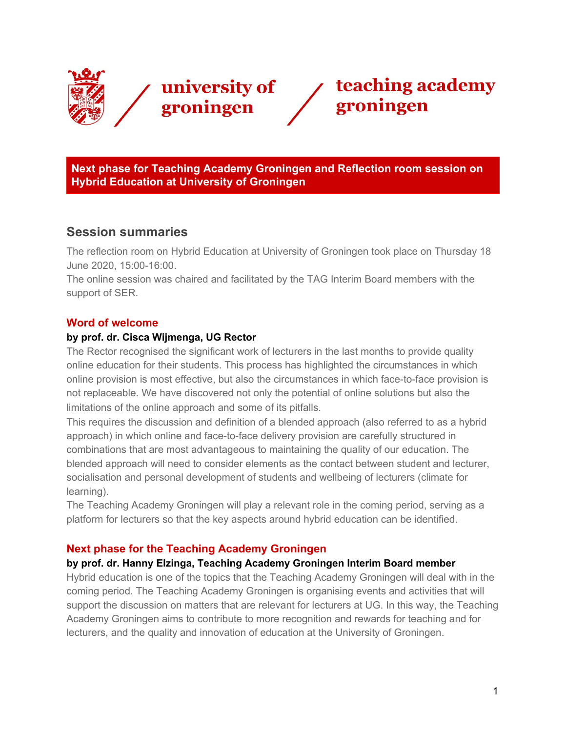



**Next phase for Teaching Academy Groningen and Reflection room session on Hybrid Education at University of Groningen**

# **Session summaries**

The reflection room on Hybrid Education at University of Groningen took place on Thursday 18 June 2020, 15:00-16:00.

The online session was chaired and facilitated by the TAG Interim Board members with the support of SER.

### **Word of welcome**

#### **by prof. dr. Cisca Wijmenga, UG Rector**

The Rector recognised the significant work of lecturers in the last months to provide quality online education for their students. This process has highlighted the circumstances in which online provision is most effective, but also the circumstances in which face-to-face provision is not replaceable. We have discovered not only the potential of online solutions but also the limitations of the online approach and some of its pitfalls.

This requires the discussion and definition of a blended approach (also referred to as a hybrid approach) in which online and face-to-face delivery provision are carefully structured in combinations that are most advantageous to maintaining the quality of our education. The blended approach will need to consider elements as the contact between student and lecturer, socialisation and personal development of students and wellbeing of lecturers (climate for learning).

The Teaching Academy Groningen will play a relevant role in the coming period, serving as a platform for lecturers so that the key aspects around hybrid education can be identified.

#### **Next phase for the Teaching Academy Groningen**

#### **by prof. dr. Hanny Elzinga, Teaching Academy Groningen Interim Board member**

Hybrid education is one of the topics that the Teaching Academy Groningen will deal with in the coming period. The Teaching Academy Groningen is organising events and activities that will support the discussion on matters that are relevant for lecturers at UG. In this way, the Teaching Academy Groningen aims to contribute to more recognition and rewards for teaching and for lecturers, and the quality and innovation of education at the University of Groningen.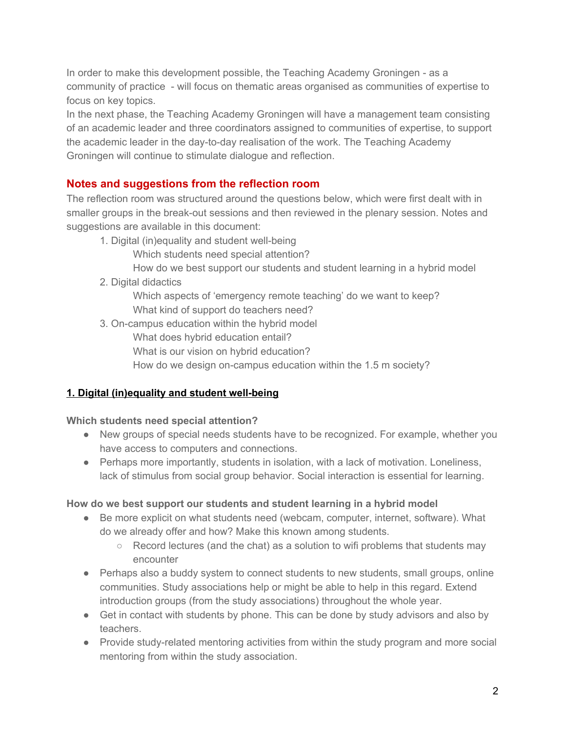In order to make this development possible, the Teaching Academy Groningen - as a community of practice - will focus on thematic areas organised as communities of expertise to focus on key topics.

In the next phase, the Teaching Academy Groningen will have a management team consisting of an academic leader and three coordinators assigned to communities of expertise, to support the academic leader in the day-to-day realisation of the work. The Teaching Academy Groningen will continue to stimulate dialogue and reflection.

## **Notes and suggestions from the reflection room**

The reflection room was structured around the questions below, which were first dealt with in smaller groups in the break-out sessions and then reviewed in the plenary session. Notes and suggestions are available in this document:

1. Digital (in)equality and student well-being

Which students need special attention?

- How do we best support our students and student learning in a hybrid model
- 2. Digital didactics

Which aspects of 'emergency remote teaching' do we want to keep? What kind of support do teachers need?

3. On-campus education within the hybrid model What does hybrid education entail? What is our vision on hybrid education? How do we design on-campus education within the 1.5 m society?

# **1. Digital (in)equality and student well-being**

#### **Which students need special attention?**

- New groups of special needs students have to be recognized. For example, whether you have access to computers and connections.
- Perhaps more importantly, students in isolation, with a lack of motivation. Loneliness, lack of stimulus from social group behavior. Social interaction is essential for learning.

## **How do we best support our students and student learning in a hybrid model**

- Be more explicit on what students need (webcam, computer, internet, software). What do we already offer and how? Make this known among students.
	- $\circ$  Record lectures (and the chat) as a solution to wifi problems that students may encounter
- Perhaps also a buddy system to connect students to new students, small groups, online communities. Study associations help or might be able to help in this regard. Extend introduction groups (from the study associations) throughout the whole year.
- Get in contact with students by phone. This can be done by study advisors and also by teachers.
- Provide study-related mentoring activities from within the study program and more social mentoring from within the study association.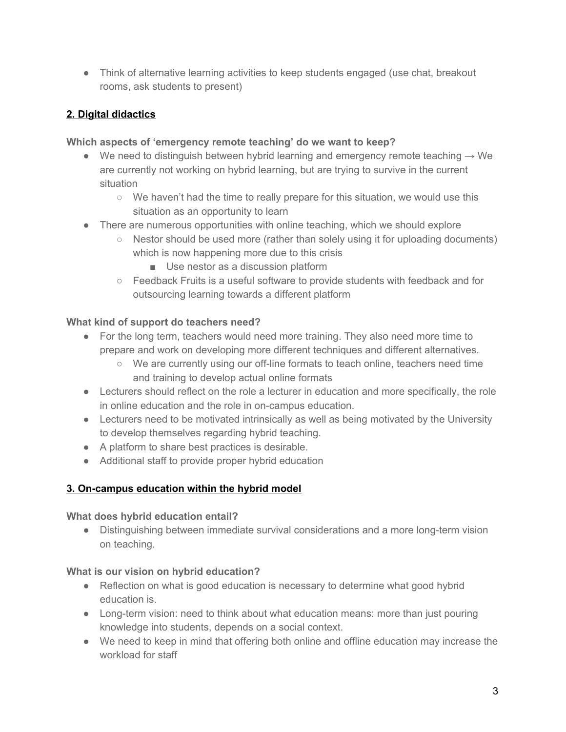• Think of alternative learning activities to keep students engaged (use chat, breakout rooms, ask students to present)

## **2. Digital didactics**

### **Which aspects of 'emergency remote teaching' do we want to keep?**

- We need to distinguish between hybrid learning and emergency remote teaching  $\rightarrow$  We are currently not working on hybrid learning, but are trying to survive in the current situation
	- We haven't had the time to really prepare for this situation, we would use this situation as an opportunity to learn
- There are numerous opportunities with online teaching, which we should explore
	- Nestor should be used more (rather than solely using it for uploading documents) which is now happening more due to this crisis
		- Use nestor as a discussion platform
	- Feedback Fruits is a useful software to provide students with feedback and for outsourcing learning towards a different platform

## **What kind of support do teachers need?**

- For the long term, teachers would need more training. They also need more time to prepare and work on developing more different techniques and different alternatives.
	- We are currently using our off-line formats to teach online, teachers need time and training to develop actual online formats
- Lecturers should reflect on the role a lecturer in education and more specifically, the role in online education and the role in on-campus education.
- Lecturers need to be motivated intrinsically as well as being motivated by the University to develop themselves regarding hybrid teaching.
- A platform to share best practices is desirable.
- Additional staff to provide proper hybrid education

# **3. On-campus education within the hybrid model**

## **What does hybrid education entail?**

● Distinguishing between immediate survival considerations and a more long-term vision on teaching.

# **What is our vision on hybrid education?**

- Reflection on what is good education is necessary to determine what good hybrid education is.
- Long-term vision: need to think about what education means: more than just pouring knowledge into students, depends on a social context.
- We need to keep in mind that offering both online and offline education may increase the workload for staff